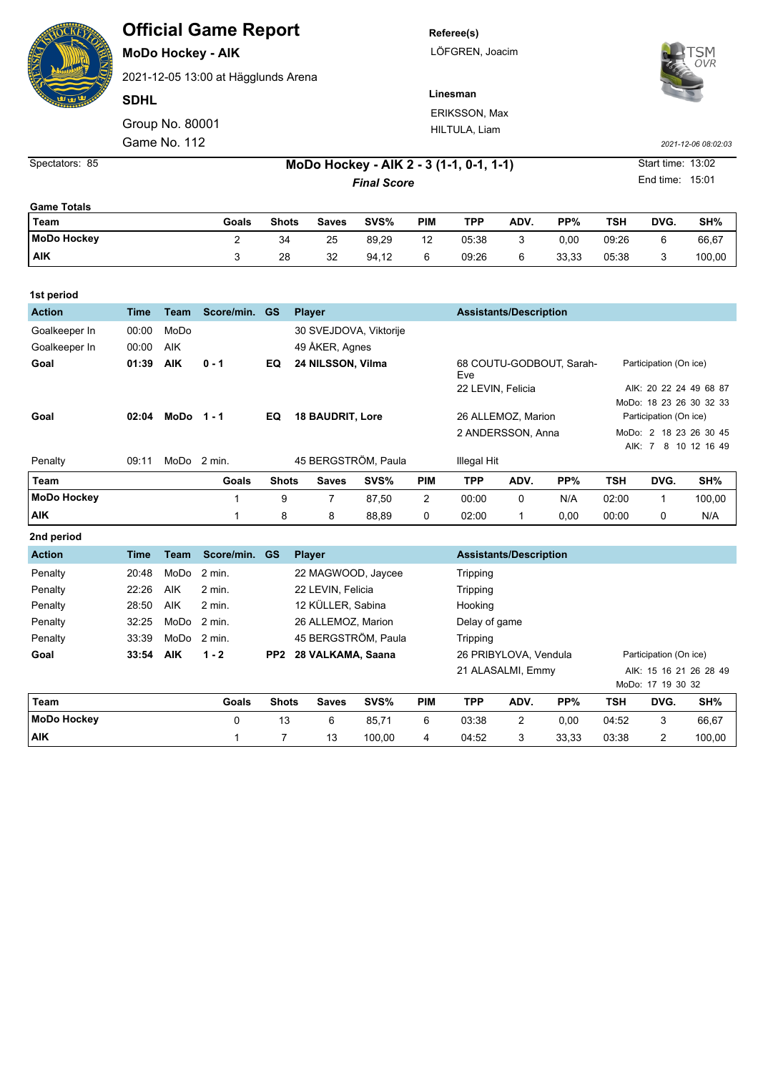| <b>Official Game Report</b> |  |  |
|-----------------------------|--|--|
|-----------------------------|--|--|

**MoDo Hockey - AIK**

2021-12-05 13:00 at Hägglunds Arena

**SDHL**

Group No. 80001 Game No. 112 *2021-12-06 08:02:03*

**Referee(s)** LÖFGREN, Joacim

**Linesman**



ERIKSSON, Max HILTULA, Liam

Spectators: 85 **MoDo Hockey - AIK 2 - 3 (1-1, 0-1, 1-1)** Start time: 13:02 **Final Score** End time: 15:01

| <b>Game Totals</b> |       |              |       |       |            |            |      |       |       |      |        |
|--------------------|-------|--------------|-------|-------|------------|------------|------|-------|-------|------|--------|
| Team               | Goals | <b>Shots</b> | Saves | SVS%  | <b>PIM</b> | <b>TPP</b> | ADV. | PP%   | TSH   | DVG. | SH%    |
| <b>MoDo Hockey</b> |       | 34           | 25    | 89,29 | 12         | 05:38      |      | 0,00  | 09:26 |      | 66,67  |
| <b>AIK</b>         |       | 28           | 32    | 94,12 | 6          | 09:26      | 6    | 33,33 | 05:38 |      | 100,00 |

| 1st period         |             |              |            |                 |                         |                        |               |                               |                               |                          |                        |                         |               |
|--------------------|-------------|--------------|------------|-----------------|-------------------------|------------------------|---------------|-------------------------------|-------------------------------|--------------------------|------------------------|-------------------------|---------------|
| <b>Action</b>      | <b>Time</b> | <b>Team</b>  | Score/min. | <b>GS</b>       | <b>Player</b>           |                        |               | <b>Assistants/Description</b> |                               |                          |                        |                         |               |
| Goalkeeper In      | 00:00       | MoDo         |            |                 |                         | 30 SVEJDOVA, Viktorije |               |                               |                               |                          |                        |                         |               |
| Goalkeeper In      | 00:00       | <b>AIK</b>   |            |                 | 49 ÅKER, Agnes          |                        |               |                               |                               |                          |                        |                         |               |
| Goal               | 01:39       | <b>AIK</b>   | $0 - 1$    | EQ              | 24 NILSSON, Vilma       |                        |               | Eve                           |                               | 68 COUTU-GODBOUT, Sarah- | Participation (On ice) |                         |               |
|                    |             |              |            |                 |                         |                        |               | 22 LEVIN, Felicia             |                               |                          | AIK: 20 22 24 49 68 87 |                         |               |
|                    |             |              |            |                 |                         |                        |               |                               |                               |                          |                        | MoDo: 18 23 26 30 32 33 |               |
| Goal               | 02:04       | $MODo 1 - 1$ |            | EQ              | <b>18 BAUDRIT, Lore</b> |                        |               |                               | 26 ALLEMOZ, Marion            |                          | Participation (On ice) |                         |               |
|                    |             |              |            |                 |                         |                        |               |                               | 2 ANDERSSON, Anna             |                          | MoDo: 2 18 23 26 30 45 |                         |               |
|                    |             |              |            |                 |                         |                        |               |                               |                               |                          |                        | AIK: 7                  | 8 10 12 16 49 |
| Penalty            | 09:11       | MoDo         | 2 min.     |                 |                         | 45 BERGSTRÖM, Paula    |               | Illegal Hit                   |                               |                          |                        |                         |               |
| Team               |             |              | Goals      | <b>Shots</b>    | <b>Saves</b>            | SVS%                   | <b>PIM</b>    | <b>TPP</b>                    | ADV.                          | PP%                      | <b>TSH</b>             | DVG.                    | SH%           |
| <b>MoDo Hockey</b> |             |              | 1          | 9               | 7                       | 87,50                  | 2             | 00:00                         | 0                             | N/A                      | 02:00                  | 1                       | 100,00        |
| <b>AIK</b>         |             |              | 1          | 8               | 8                       | 88,89                  | 0             | 02:00                         | 1                             | 0,00                     | 00:00                  | 0                       | N/A           |
| 2nd period         |             |              |            |                 |                         |                        |               |                               |                               |                          |                        |                         |               |
| <b>Action</b>      | <b>Time</b> | <b>Team</b>  | Score/min. | <b>GS</b>       | <b>Player</b>           |                        |               |                               | <b>Assistants/Description</b> |                          |                        |                         |               |
| Penalty            | 20:48       | MoDo         | 2 min.     |                 |                         | 22 MAGWOOD, Jaycee     |               | Tripping                      |                               |                          |                        |                         |               |
| Penalty            | 22:26       | <b>AIK</b>   | 2 min.     |                 | 22 LEVIN, Felicia       |                        |               | Tripping                      |                               |                          |                        |                         |               |
| Penalty            | 28:50       | AIK          | 2 min.     |                 | 12 KÜLLER, Sabina       |                        | Hooking       |                               |                               |                          |                        |                         |               |
| Penalty            | 32:25       | MoDo         | 2 min.     |                 | 26 ALLEMOZ. Marion      |                        | Delay of game |                               |                               |                          |                        |                         |               |
| Penalty            | 33:39       | MoDo         | 2 min.     |                 |                         | 45 BERGSTRÖM, Paula    |               | Tripping                      |                               |                          |                        |                         |               |
| Goal               | 33:54       | <b>AIK</b>   | $1 - 2$    | PP <sub>2</sub> | 28 VALKAMA, Saana       |                        |               | 26 PRIBYLOVA, Vendula         |                               | Participation (On ice)   |                        |                         |               |
|                    |             |              |            |                 |                         |                        |               | 21 ALASALMI, Emmy             |                               | AIK: 15 16 21 26 28 49   |                        |                         |               |

|                    |       |              |       |        |            |       |      |       |       | MoDo: 17 19 30 32 |        |
|--------------------|-------|--------------|-------|--------|------------|-------|------|-------|-------|-------------------|--------|
| Team               | Goals | <b>Shots</b> | Saves | SVS%   | <b>PIM</b> | TPP   | ADV. | PP%   | TSH   | DVG.              | SH%    |
| <b>MoDo Hockey</b> |       | 13           | 6     | 85.71  | 6          | 03:38 | 2    | 0.00  | 04:52 |                   | 66,67  |
| <b>AIK</b>         |       |              | 13    | 100.00 | 4          | 04:52 |      | 33.33 | 03:38 |                   | 100,00 |